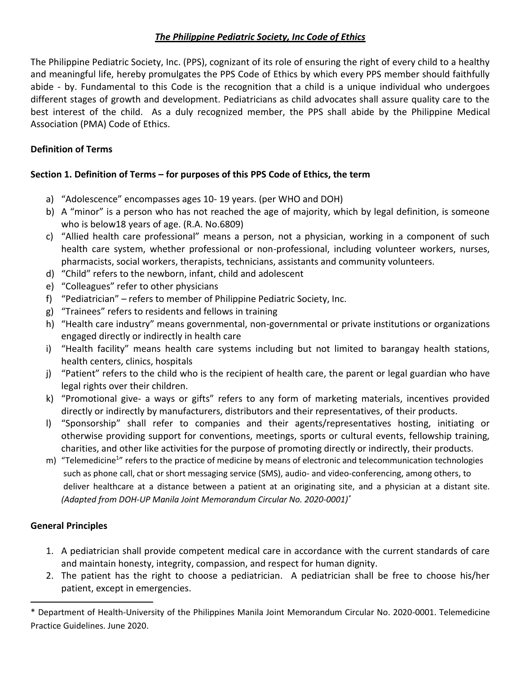# *The Philippine Pediatric Society, Inc Code of Ethics*

The Philippine Pediatric Society, Inc. (PPS), cognizant of its role of ensuring the right of every child to a healthy and meaningful life, hereby promulgates the PPS Code of Ethics by which every PPS member should faithfully abide - by. Fundamental to this Code is the recognition that a child is a unique individual who undergoes different stages of growth and development. Pediatricians as child advocates shall assure quality care to the best interest of the child. As a duly recognized member, the PPS shall abide by the Philippine Medical Association (PMA) Code of Ethics.

# **Definition of Terms**

# **Section 1. Definition of Terms – for purposes of this PPS Code of Ethics, the term**

- a) "Adolescence" encompasses ages 10- 19 years. (per WHO and DOH)
- b) A "minor" is a person who has not reached the age of majority, which by legal definition, is someone who is below18 years of age. (R.A. No.6809)
- c) "Allied health care professional" means a person, not a physician, working in a component of such health care system, whether professional or non-professional, including volunteer workers, nurses, pharmacists, social workers, therapists, technicians, assistants and community volunteers.
- d) "Child" refers to the newborn, infant, child and adolescent
- e) "Colleagues" refer to other physicians
- f) "Pediatrician" refers to member of Philippine Pediatric Society, Inc.
- g) "Trainees" refers to residents and fellows in training
- h) "Health care industry" means governmental, non-governmental or private institutions or organizations engaged directly or indirectly in health care
- i) "Health facility" means health care systems including but not limited to barangay health stations, health centers, clinics, hospitals
- j) "Patient" refers to the child who is the recipient of health care, the parent or legal guardian who have legal rights over their children.
- k) "Promotional give- a ways or gifts" refers to any form of marketing materials, incentives provided directly or indirectly by manufacturers, distributors and their representatives, of their products.
- l) "Sponsorship" shall refer to companies and their agents/representatives hosting, initiating or otherwise providing support for conventions, meetings, sports or cultural events, fellowship training, charities, and other like activities for the purpose of promoting directly or indirectly, their products.
- m) "Telemedicine<sup>1</sup>" refers to the practice of medicine by means of electronic and telecommunication technologies such as phone call, chat or short messaging service (SMS), audio- and video-conferencing, among others, to deliver healthcare at a distance between a patient at an originating site, and a physician at a distant site. *(Adapted from DOH-UP Manila Joint Memorandum Circular No. 2020-0001)\**

# **General Principles**

l

- 1. A pediatrician shall provide competent medical care in accordance with the current standards of care and maintain honesty, integrity, compassion, and respect for human dignity.
- 2. The patient has the right to choose a pediatrician. A pediatrician shall be free to choose his/her patient, except in emergencies.

<sup>\*</sup> Department of Health-University of the Philippines Manila Joint Memorandum Circular No. 2020-0001. Telemedicine Practice Guidelines. June 2020.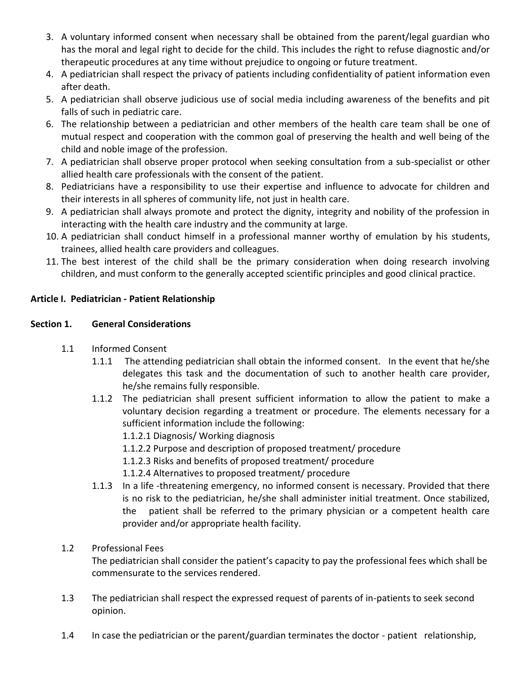- 3. A voluntary informed consent when necessary shall be obtained from the parent/legal guardian who has the moral and legal right to decide for the child. This includes the right to refuse diagnostic and/or therapeutic procedures at any time without prejudice to ongoing or future treatment.
- 4. A pediatrician shall respect the privacy of patients including confidentiality of patient information even after death.
- 5. A pediatrician shall observe judicious use of social media including awareness of the benefits and pit falls of such in pediatric care.
- 6. The relationship between a pediatrician and other members of the health care team shall be one of mutual respect and cooperation with the common goal of preserving the health and well being of the child and noble image of the profession.
- 7. A pediatrician shall observe proper protocol when seeking consultation from a sub-specialist or other allied health care professionals with the consent of the patient.
- 8. Pediatricians have a responsibility to use their expertise and influence to advocate for children and their interests in all spheres of community life, not just in health care.
- 9. A pediatrician shall always promote and protect the dignity, integrity and nobility of the profession in interacting with the health care industry and the community at large.
- 10. A pediatrician shall conduct himself in a professional manner worthy of emulation by his students, trainees, allied health care providers and colleagues.
- 11. The best interest of the child shall be the primary consideration when doing research involving children, and must conform to the generally accepted scientific principles and good clinical practice.

# **Article I. Pediatrician - Patient Relationship**

# **Section 1. General Considerations**

- 1.1 Informed Consent
	- 1.1.1 The attending pediatrician shall obtain the informed consent. In the event that he/she delegates this task and the documentation of such to another health care provider, he/she remains fully responsible.
	- 1.1.2 The pediatrician shall present sufficient information to allow the patient to make a voluntary decision regarding a treatment or procedure. The elements necessary for a sufficient information include the following:
		- 1.1.2.1 Diagnosis/ Working diagnosis
		- 1.1.2.2 Purpose and description of proposed treatment/ procedure
		- 1.1.2.3 Risks and benefits of proposed treatment/ procedure
		- 1.1.2.4 Alternatives to proposed treatment/ procedure
	- 1.1.3 In a life -threatening emergency, no informed consent is necessary. Provided that there is no risk to the pediatrician, he/she shall administer initial treatment. Once stabilized, the patient shall be referred to the primary physician or a competent health care provider and/or appropriate health facility.
- 1.2 Professional Fees

The pediatrician shall consider the patient's capacity to pay the professional fees which shall be commensurate to the services rendered.

- 1.3 The pediatrician shall respect the expressed request of parents of in-patients to seek second opinion.
- 1.4 In case the pediatrician or the parent/guardian terminates the doctor patient relationship,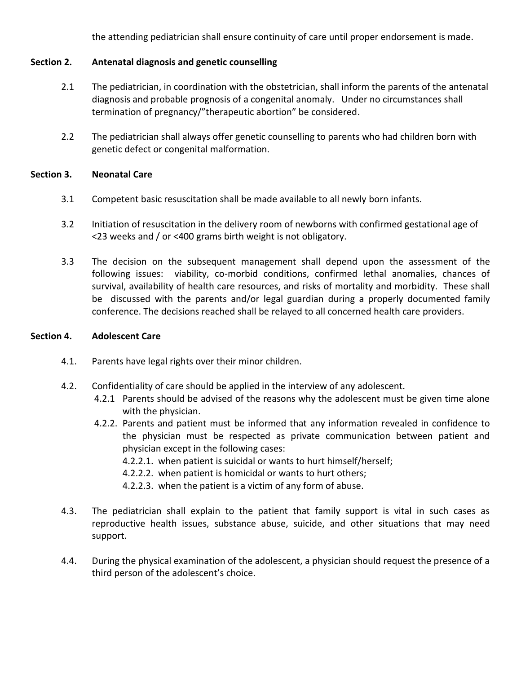the attending pediatrician shall ensure continuity of care until proper endorsement is made.

## **Section 2. Antenatal diagnosis and genetic counselling**

- 2.1 The pediatrician, in coordination with the obstetrician, shall inform the parents of the antenatal diagnosis and probable prognosis of a congenital anomaly. Under no circumstances shall termination of pregnancy/"therapeutic abortion" be considered.
- 2.2 The pediatrician shall always offer genetic counselling to parents who had children born with genetic defect or congenital malformation.

## **Section 3. Neonatal Care**

- 3.1 Competent basic resuscitation shall be made available to all newly born infants.
- 3.2 Initiation of resuscitation in the delivery room of newborns with confirmed gestational age of <23 weeks and / or <400 grams birth weight is not obligatory.
- 3.3 The decision on the subsequent management shall depend upon the assessment of the following issues: viability, co-morbid conditions, confirmed lethal anomalies, chances of survival, availability of health care resources, and risks of mortality and morbidity. These shall be discussed with the parents and/or legal guardian during a properly documented family conference. The decisions reached shall be relayed to all concerned health care providers.

#### **Section 4. Adolescent Care**

- 4.1. Parents have legal rights over their minor children.
- 4.2. Confidentiality of care should be applied in the interview of any adolescent.
	- 4.2.1 Parents should be advised of the reasons why the adolescent must be given time alone with the physician.
	- 4.2.2. Parents and patient must be informed that any information revealed in confidence to the physician must be respected as private communication between patient and physician except in the following cases:
		- 4.2.2.1. when patient is suicidal or wants to hurt himself/herself;
		- 4.2.2.2. when patient is homicidal or wants to hurt others;
		- 4.2.2.3. when the patient is a victim of any form of abuse.
- 4.3. The pediatrician shall explain to the patient that family support is vital in such cases as reproductive health issues, substance abuse, suicide, and other situations that may need support.
- 4.4. During the physical examination of the adolescent, a physician should request the presence of a third person of the adolescent's choice.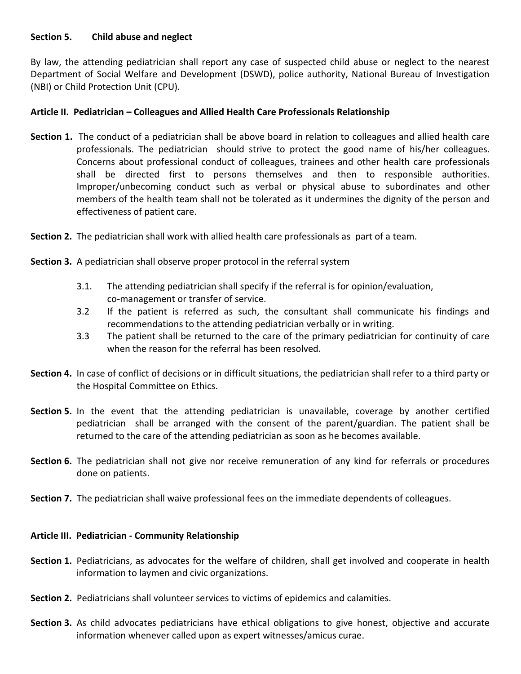# **Section 5. Child abuse and neglect**

By law, the attending pediatrician shall report any case of suspected child abuse or neglect to the nearest Department of Social Welfare and Development (DSWD), police authority, National Bureau of Investigation (NBI) or Child Protection Unit (CPU).

# **Article II. Pediatrician – Colleagues and Allied Health Care Professionals Relationship**

- **Section 1.** The conduct of a pediatrician shall be above board in relation to colleagues and allied health care professionals. The pediatrician should strive to protect the good name of his/her colleagues. Concerns about professional conduct of colleagues, trainees and other health care professionals shall be directed first to persons themselves and then to responsible authorities. Improper/unbecoming conduct such as verbal or physical abuse to subordinates and other members of the health team shall not be tolerated as it undermines the dignity of the person and effectiveness of patient care.
- **Section 2.** The pediatrician shall work with allied health care professionals as part of a team.
- **Section 3.** A pediatrician shall observe proper protocol in the referral system
	- 3.1. The attending pediatrician shall specify if the referral is for opinion/evaluation, co-management or transfer of service.
	- 3.2 If the patient is referred as such, the consultant shall communicate his findings and recommendations to the attending pediatrician verbally or in writing.
	- 3.3 The patient shall be returned to the care of the primary pediatrician for continuity of care when the reason for the referral has been resolved.
- **Section 4.** In case of conflict of decisions or in difficult situations, the pediatrician shall refer to a third party or the Hospital Committee on Ethics.
- **Section 5.** In the event that the attending pediatrician is unavailable, coverage by another certified pediatrician shall be arranged with the consent of the parent/guardian. The patient shall be returned to the care of the attending pediatrician as soon as he becomes available.
- **Section 6.** The pediatrician shall not give nor receive remuneration of any kind for referrals or procedures done on patients.
- **Section 7.** The pediatrician shall waive professional fees on the immediate dependents of colleagues.

## **Article III. Pediatrician - Community Relationship**

- **Section 1.** Pediatricians, as advocates for the welfare of children, shall get involved and cooperate in health information to laymen and civic organizations.
- **Section 2.** Pediatricians shall volunteer services to victims of epidemics and calamities.
- **Section 3.** As child advocates pediatricians have ethical obligations to give honest, objective and accurate information whenever called upon as expert witnesses/amicus curae.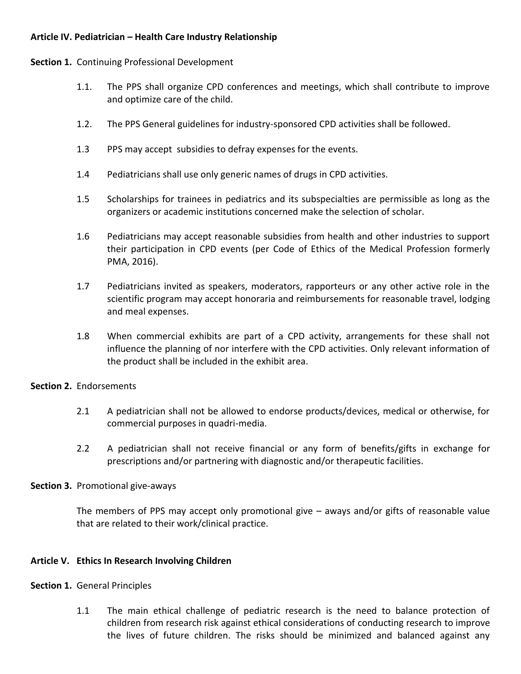# **Article IV. Pediatrician – Health Care Industry Relationship**

## **Section 1.** Continuing Professional Development

- 1.1. The PPS shall organize CPD conferences and meetings, which shall contribute to improve and optimize care of the child.
- 1.2. The PPS General guidelines for industry-sponsored CPD activities shall be followed.
- 1.3 PPS may accept subsidies to defray expenses for the events.
- 1.4 Pediatricians shall use only generic names of drugs in CPD activities.
- 1.5 Scholarships for trainees in pediatrics and its subspecialties are permissible as long as the organizers or academic institutions concerned make the selection of scholar.
- 1.6 Pediatricians may accept reasonable subsidies from health and other industries to support their participation in CPD events (per Code of Ethics of the Medical Profession formerly PMA, 2016).
- 1.7 Pediatricians invited as speakers, moderators, rapporteurs or any other active role in the scientific program may accept honoraria and reimbursements for reasonable travel, lodging and meal expenses.
- 1.8 When commercial exhibits are part of a CPD activity, arrangements for these shall not influence the planning of nor interfere with the CPD activities. Only relevant information of the product shall be included in the exhibit area.

## **Section 2.** Endorsements

- 2.1 A pediatrician shall not be allowed to endorse products/devices, medical or otherwise, for commercial purposes in quadri-media.
- 2.2 A pediatrician shall not receive financial or any form of benefits/gifts in exchange for prescriptions and/or partnering with diagnostic and/or therapeutic facilities.

## **Section 3.** Promotional give-aways

The members of PPS may accept only promotional give – aways and/or gifts of reasonable value that are related to their work/clinical practice.

## **Article V. Ethics In Research Involving Children**

#### **Section 1.** General Principles

1.1 The main ethical challenge of pediatric research is the need to balance protection of children from research risk against ethical considerations of conducting research to improve the lives of future children. The risks should be minimized and balanced against any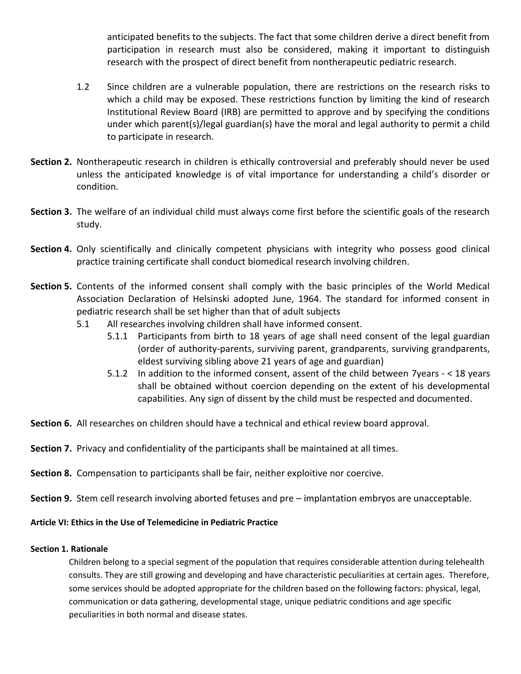anticipated benefits to the subjects. The fact that some children derive a direct benefit from participation in research must also be considered, making it important to distinguish research with the prospect of direct benefit from nontherapeutic pediatric research.

- 1.2 Since children are a vulnerable population, there are restrictions on the research risks to which a child may be exposed. These restrictions function by limiting the kind of research Institutional Review Board (IRB) are permitted to approve and by specifying the conditions under which parent(s)/legal guardian(s) have the moral and legal authority to permit a child to participate in research.
- **Section 2.** Nontherapeutic research in children is ethically controversial and preferably should never be used unless the anticipated knowledge is of vital importance for understanding a child's disorder or condition.
- **Section 3.** The welfare of an individual child must always come first before the scientific goals of the research study.
- **Section 4.** Only scientifically and clinically competent physicians with integrity who possess good clinical practice training certificate shall conduct biomedical research involving children.
- **Section 5.** Contents of the informed consent shall comply with the basic principles of the World Medical Association Declaration of Helsinski adopted June, 1964. The standard for informed consent in pediatric research shall be set higher than that of adult subjects
	- 5.1 All researches involving children shall have informed consent.
		- 5.1.1 Participants from birth to 18 years of age shall need consent of the legal guardian (order of authority-parents, surviving parent, grandparents, surviving grandparents, eldest surviving sibling above 21 years of age and guardian)
		- 5.1.2 In addition to the informed consent, assent of the child between 7years < 18 years shall be obtained without coercion depending on the extent of his developmental capabilities. Any sign of dissent by the child must be respected and documented.
- **Section 6.** All researches on children should have a technical and ethical review board approval.
- **Section 7.** Privacy and confidentiality of the participants shall be maintained at all times.
- **Section 8.** Compensation to participants shall be fair, neither exploitive nor coercive.
- **Section 9.** Stem cell research involving aborted fetuses and pre implantation embryos are unacceptable.

**Article VI: Ethics in the Use of Telemedicine in Pediatric Practice**

#### **Section 1. Rationale**

Children belong to a special segment of the population that requires considerable attention during telehealth consults. They are still growing and developing and have characteristic peculiarities at certain ages. Therefore, some services should be adopted appropriate for the children based on the following factors: physical, legal, communication or data gathering, developmental stage, unique pediatric conditions and age specific peculiarities in both normal and disease states.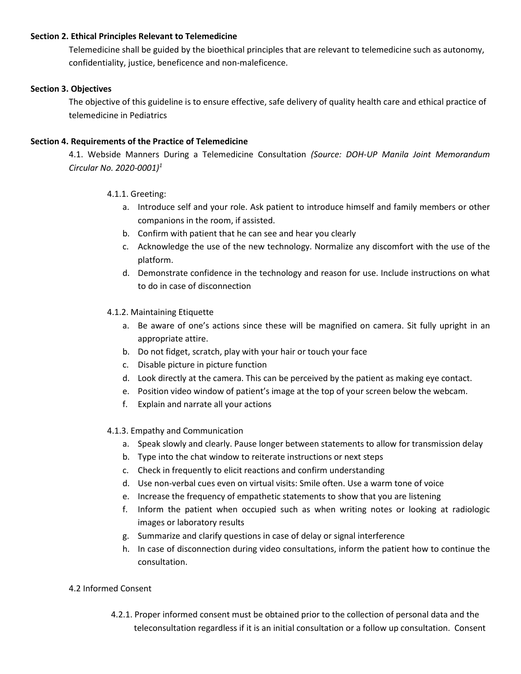#### **Section 2. Ethical Principles Relevant to Telemedicine**

Telemedicine shall be guided by the bioethical principles that are relevant to telemedicine such as autonomy, confidentiality, justice, beneficence and non-maleficence.

## **Section 3. Objectives**

The objective of this guideline is to ensure effective, safe delivery of quality health care and ethical practice of telemedicine in Pediatrics

## **Section 4. Requirements of the Practice of Telemedicine**

4.1. Webside Manners During a Telemedicine Consultation *(Source: DOH-UP Manila Joint Memorandum Circular No. 2020-0001)<sup>1</sup>*

## 4.1.1. Greeting:

- a. Introduce self and your role. Ask patient to introduce himself and family members or other companions in the room, if assisted.
- b. Confirm with patient that he can see and hear you clearly
- c. Acknowledge the use of the new technology. Normalize any discomfort with the use of the platform.
- d. Demonstrate confidence in the technology and reason for use. Include instructions on what to do in case of disconnection

## 4.1.2. Maintaining Etiquette

- a. Be aware of one's actions since these will be magnified on camera. Sit fully upright in an appropriate attire.
- b. Do not fidget, scratch, play with your hair or touch your face
- c. Disable picture in picture function
- d. Look directly at the camera. This can be perceived by the patient as making eye contact.
- e. Position video window of patient's image at the top of your screen below the webcam.
- f. Explain and narrate all your actions

#### 4.1.3. Empathy and Communication

- a. Speak slowly and clearly. Pause longer between statements to allow for transmission delay
- b. Type into the chat window to reiterate instructions or next steps
- c. Check in frequently to elicit reactions and confirm understanding
- d. Use non-verbal cues even on virtual visits: Smile often. Use a warm tone of voice
- e. Increase the frequency of empathetic statements to show that you are listening
- f. Inform the patient when occupied such as when writing notes or looking at radiologic images or laboratory results
- g. Summarize and clarify questions in case of delay or signal interference
- h. In case of disconnection during video consultations, inform the patient how to continue the consultation.

#### 4.2 Informed Consent

4.2.1. Proper informed consent must be obtained prior to the collection of personal data and the teleconsultation regardless if it is an initial consultation or a follow up consultation. Consent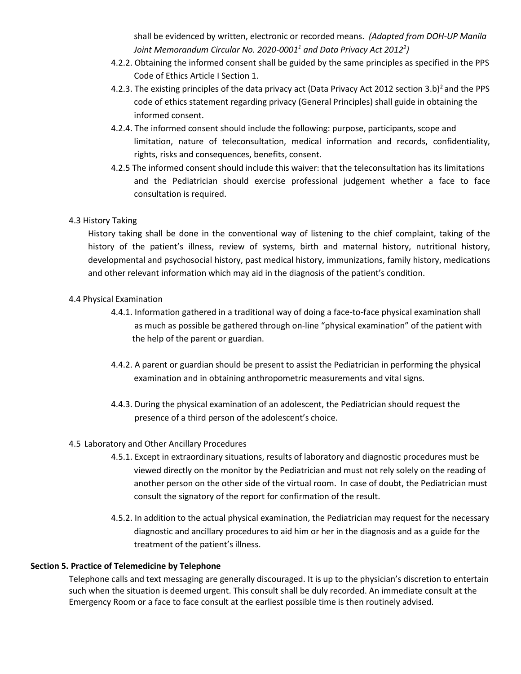shall be evidenced by written, electronic or recorded means. *(Adapted from DOH-UP Manila Joint Memorandum Circular No. 2020-0001<sup>1</sup> and Data Privacy Act 2012<sup>2</sup> )*

- 4.2.2. Obtaining the informed consent shall be guided by the same principles as specified in the PPS Code of Ethics Article I Section 1.
- 4.2.3. The existing principles of the data privacy act (Data Privacy Act 2012 section 3.b)<sup>2</sup> and the PPS code of ethics statement regarding privacy (General Principles) shall guide in obtaining the informed consent.
- 4.2.4. The informed consent should include the following: purpose, participants, scope and limitation, nature of teleconsultation, medical information and records, confidentiality, rights, risks and consequences, benefits, consent.
- 4.2.5 The informed consent should include this waiver: that the teleconsultation has its limitations and the Pediatrician should exercise professional judgement whether a face to face consultation is required.

## 4.3 History Taking

History taking shall be done in the conventional way of listening to the chief complaint, taking of the history of the patient's illness, review of systems, birth and maternal history, nutritional history, developmental and psychosocial history, past medical history, immunizations, family history, medications and other relevant information which may aid in the diagnosis of the patient's condition.

## 4.4 Physical Examination

- 4.4.1. Information gathered in a traditional way of doing a face-to-face physical examination shall as much as possible be gathered through on-line "physical examination" of the patient with the help of the parent or guardian.
- 4.4.2. A parent or guardian should be present to assist the Pediatrician in performing the physical examination and in obtaining anthropometric measurements and vital signs.
- 4.4.3. During the physical examination of an adolescent, the Pediatrician should request the presence of a third person of the adolescent's choice.

#### 4.5 Laboratory and Other Ancillary Procedures

- 4.5.1. Except in extraordinary situations, results of laboratory and diagnostic procedures must be viewed directly on the monitor by the Pediatrician and must not rely solely on the reading of another person on the other side of the virtual room. In case of doubt, the Pediatrician must consult the signatory of the report for confirmation of the result.
- 4.5.2. In addition to the actual physical examination, the Pediatrician may request for the necessary diagnostic and ancillary procedures to aid him or her in the diagnosis and as a guide for the treatment of the patient's illness.

## **Section 5. Practice of Telemedicine by Telephone**

Telephone calls and text messaging are generally discouraged. It is up to the physician's discretion to entertain such when the situation is deemed urgent. This consult shall be duly recorded. An immediate consult at the Emergency Room or a face to face consult at the earliest possible time is then routinely advised.